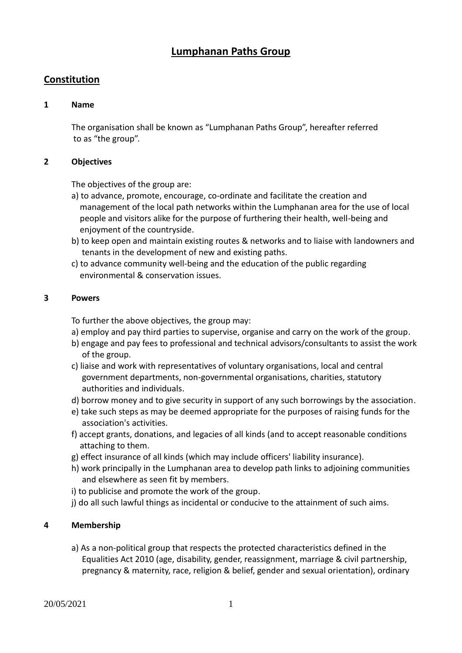# **Lumphanan Paths Group**

# **Constitution**

#### **1 Name**

The organisation shall be known as "Lumphanan Paths Group", hereafter referred to as "the group".

#### **2 Objectives**

The objectives of the group are:

- a) to advance, promote, encourage, co-ordinate and facilitate the creation and management of the local path networks within the Lumphanan area for the use of local people and visitors alike for the purpose of furthering their health, well-being and enjoyment of the countryside.
- b) to keep open and maintain existing routes & networks and to liaise with landowners and tenants in the development of new and existing paths.
- c) to advance community well-being and the education of the public regarding environmental & conservation issues.

#### **3 Powers**

To further the above objectives, the group may:

- a) employ and pay third parties to supervise, organise and carry on the work of the group.
- b) engage and pay fees to professional and technical advisors/consultants to assist the work of the group.
- c) liaise and work with representatives of voluntary organisations, local and central government departments, non-governmental organisations, charities, statutory authorities and individuals.
- d) borrow money and to give security in support of any such borrowings by the association.
- e) take such steps as may be deemed appropriate for the purposes of raising funds for the association's activities.
- f) accept grants, donations, and legacies of all kinds (and to accept reasonable conditions attaching to them.
- g) effect insurance of all kinds (which may include officers' liability insurance).
- h) work principally in the Lumphanan area to develop path links to adjoining communities and elsewhere as seen fit by members.
- i) to publicise and promote the work of the group.
- j) do all such lawful things as incidental or conducive to the attainment of such aims.

# **4 Membership**

a) As a non-political group that respects the protected characteristics defined in the Equalities Act 2010 (age, disability, gender, reassignment, marriage & civil partnership, pregnancy & maternity, race, religion & belief, gender and sexual orientation), ordinary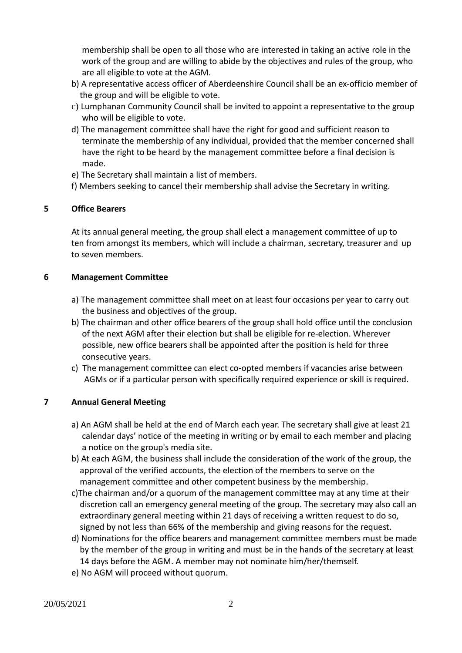membership shall be open to all those who are interested in taking an active role in the work of the group and are willing to abide by the objectives and rules of the group, who are all eligible to vote at the AGM.

- b) A representative access officer of Aberdeenshire Council shall be an ex-officio member of the group and will be eligible to vote.
- c) Lumphanan Community Council shall be invited to appoint a representative to the group who will be eligible to vote.
- d) The management committee shall have the right for good and sufficient reason to terminate the membership of any individual, provided that the member concerned shall have the right to be heard by the management committee before a final decision is made.
- e) The Secretary shall maintain a list of members.
- f) Members seeking to cancel their membership shall advise the Secretary in writing.

# **5 Office Bearers**

At its annual general meeting, the group shall elect a management committee of up to ten from amongst its members, which will include a chairman, secretary, treasurer and up to seven members.

# **6 Management Committee**

- a) The management committee shall meet on at least four occasions per year to carry out the business and objectives of the group.
- b) The chairman and other office bearers of the group shall hold office until the conclusion of the next AGM after their election but shall be eligible for re-election. Wherever possible, new office bearers shall be appointed after the position is held for three consecutive years.
- c) The management committee can elect co-opted members if vacancies arise between AGMs or if a particular person with specifically required experience or skill is required.

# **7 Annual General Meeting**

- a) An AGM shall be held at the end of March each year. The secretary shall give at least 21 calendar days' notice of the meeting in writing or by email to each member and placing a notice on the group's media site.
- b) At each AGM, the business shall include the consideration of the work of the group, the approval of the verified accounts, the election of the members to serve on the management committee and other competent business by the membership.
- c)The chairman and/or a quorum of the management committee may at any time at their discretion call an emergency general meeting of the group. The secretary may also call an extraordinary general meeting within 21 days of receiving a written request to do so, signed by not less than 66% of the membership and giving reasons for the request.
- d) Nominations for the office bearers and management committee members must be made by the member of the group in writing and must be in the hands of the secretary at least 14 days before the AGM. A member may not nominate him/her/themself.
- e) No AGM will proceed without quorum.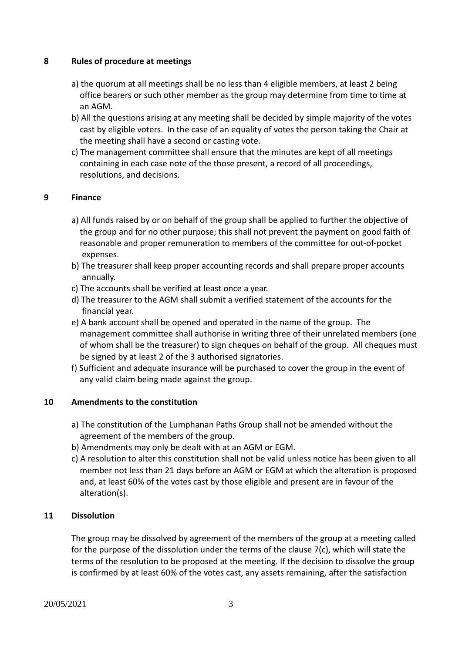#### **8 Rules of procedure at meetings**

- a) the quorum at all meetings shall be no less than 4 eligible members, at least 2 being office bearers or such other member as the group may determine from time to time at an AGM.
- b) All the questions arising at any meeting shall be decided by simple majority of the votes cast by eligible voters. In the case of an equality of votes the person taking the Chair at the meeting shall have a second or casting vote.
- c) The management committee shall ensure that the minutes are kept of all meetings containing in each case note of the those present, a record of all proceedings, resolutions, and decisions.

# **9 Finance**

- a) All funds raised by or on behalf of the group shall be applied to further the objective of the group and for no other purpose; this shall not prevent the payment on good faith of reasonable and proper remuneration to members of the committee for out-of-pocket expenses.
- b) The treasurer shall keep proper accounting records and shall prepare proper accounts annually.
- c) The accounts shall be verified at least once a year.
- d) The treasurer to the AGM shall submit a verified statement of the accounts for the financial year.
- e) A bank account shall be opened and operated in the name of the group. The management committee shall authorise in writing three of their unrelated members (one of whom shall be the treasurer) to sign cheques on behalf of the group. All cheques must be signed by at least 2 of the 3 authorised signatories.
- f) Sufficient and adequate insurance will be purchased to cover the group in the event of any valid claim being made against the group.

# **10 Amendments to the constitution**

- a) The constitution of the Lumphanan Paths Group shall not be amended without the agreement of the members of the group.
- b) Amendments may only be dealt with at an AGM or EGM.
- c) A resolution to alter this constitution shall not be valid unless notice has been given to all member not less than 21 days before an AGM or EGM at which the alteration is proposed and, at least 60% of the votes cast by those eligible and present are in favour of the alteration(s).

# **11 Dissolution**

The group may be dissolved by agreement of the members of the group at a meeting called for the purpose of the dissolution under the terms of the clause 7(c), which will state the terms of the resolution to be proposed at the meeting. If the decision to dissolve the group is confirmed by at least 60% of the votes cast, any assets remaining, after the satisfaction